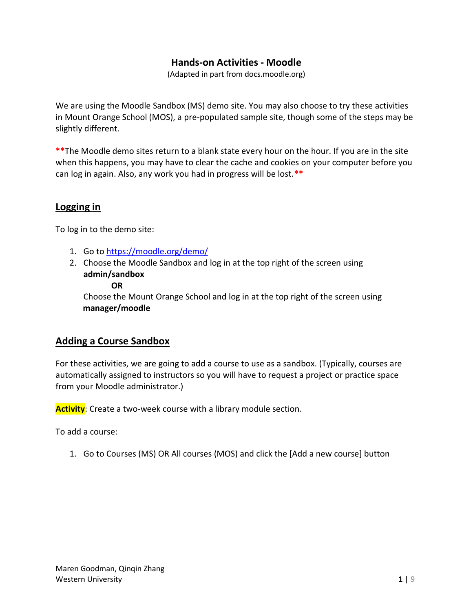### **Hands-on Activities - Moodle**

(Adapted in part from docs.moodle.org)

We are using the Moodle Sandbox (MS) demo site. You may also choose to try these activities in Mount Orange School (MOS), a pre-populated sample site, though some of the steps may be slightly different.

**\*\***The Moodle demo sites return to a blank state every hour on the hour. If you are in the site when this happens, you may have to clear the cache and cookies on your computer before you can log in again. Also, any work you had in progress will be lost.**\*\***

### **Logging in**

To log in to the demo site:

- 1. Go t[o https://moodle.org/demo/](https://moodle.org/demo/)
- 2. Choose the Moodle Sandbox and log in at the top right of the screen using **admin/sandbox**

#### **OR**

Choose the Mount Orange School and log in at the top right of the screen using **manager/moodle**

### **Adding a Course Sandbox**

For these activities, we are going to add a course to use as a sandbox. (Typically, courses are automatically assigned to instructors so you will have to request a project or practice space from your Moodle administrator.)

**Activity**: Create a two-week course with a library module section.

To add a course:

1. Go to Courses (MS) OR All courses (MOS) and click the [Add a new course] button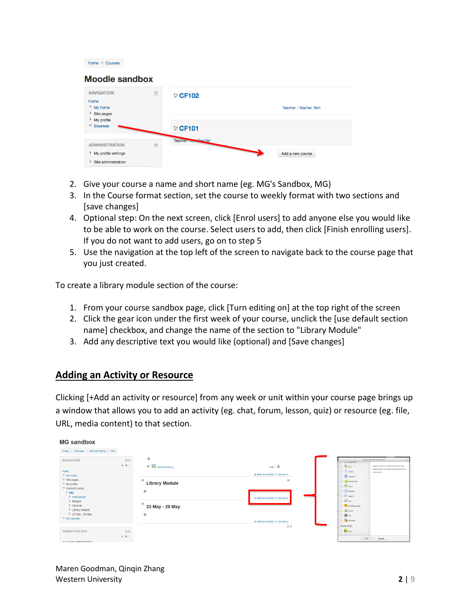| Home Courses                                               |        |                               |                        |
|------------------------------------------------------------|--------|-------------------------------|------------------------|
| <b>Moodle sandbox</b>                                      |        |                               |                        |
| <b>NAVIGATION</b><br>Home<br>" My home<br>Site pages       | $\Box$ | CF102                         | Teacher: Teacher Terri |
| $My$ profile<br><b>Courses</b><br>$\overline{\phantom{a}}$ |        | CF101                         |                        |
| <b>ADMINISTRATION</b>                                      | $\Box$ | Teacher. <b>Ibril Teacher</b> |                        |
| ▶ My profile settings                                      |        |                               | Add a new course       |
| Site administration<br>Þ                                   |        |                               |                        |

- 2. Give your course a name and short name (eg. MG's Sandbox, MG)
- 3. In the Course format section, set the course to weekly format with two sections and [save changes]
- 4. Optional step: On the next screen, click [Enrol users] to add anyone else you would like to be able to work on the course. Select users to add, then click [Finish enrolling users]. If you do not want to add users, go on to step 5
- 5. Use the navigation at the top left of the screen to navigate back to the course page that you just created.

To create a library module section of the course:

- 1. From your course sandbox page, click [Turn editing on] at the top right of the screen
- 2. Click the gear icon under the first week of your course, unclick the [use default section name] checkbox, and change the name of the section to "Library Module"
- 3. Add any descriptive text you would like (optional) and [Save changes]

### **Adding an Activity or Resource**

Clicking [+Add an activity or resource] from any week or unit within your course page brings up a window that allows you to add an activity (eg. chat, forum, lesson, quiz) or resource (eg. file, URL, media content) to that section.

| <b>MG sandbox</b>                                                                                                                                                                                                                                              |                         |                                                                                               |                                                                                                              |                                                                                                                                                                                                                                                                                                                                                                                                                                                  |
|----------------------------------------------------------------------------------------------------------------------------------------------------------------------------------------------------------------------------------------------------------------|-------------------------|-----------------------------------------------------------------------------------------------|--------------------------------------------------------------------------------------------------------------|--------------------------------------------------------------------------------------------------------------------------------------------------------------------------------------------------------------------------------------------------------------------------------------------------------------------------------------------------------------------------------------------------------------------------------------------------|
| Home $\triangleright$ Courses $\triangleright$ Art and Media $\triangleright$ MG                                                                                                                                                                               |                         |                                                                                               |                                                                                                              |                                                                                                                                                                                                                                                                                                                                                                                                                                                  |
| <b>NAVIGATION</b><br>Home<br>" My home<br>$\triangleright$ Site pages<br>$My$ profile<br>Current course<br>$W = MG$<br>$\blacktriangleright$ Participants<br>$\triangleright$ Badges<br>$\triangleright$ General<br><b>Library Module</b><br>▶ 23 May - 29 May | $-1$<br>÷ 0 -           | 畳<br>$\div$ $\Box$ News forum<br>÷<br><b>Library Module</b><br>崇<br>÷<br>23 May - 29 May<br>畳 | Edit $\sim$ $\frac{9}{2}$<br>+Add an activity or resource<br>$^{\circ}$<br>_<br>+Add an activity or resource | Add an activity or resource<br>×<br>O said conditions<br>$0$ $\bullet$ out<br>Select an activity or resource to view its help.<br>Double-click on an activity or resource name to<br>$O$ $?$ axise<br>quickly add it.<br>$\bigcirc$ $\blacksquare$ Detabase<br>O est External Tool<br>$\circ$ $\blacksquare$ Forum<br>$\bigcirc$ $\sim$ Gossay<br>O Bit Lesson<br>$\circ \sqrt{\circ n}$<br>C <b>E</b> SCORM package<br>$O$ all survey<br>○ 導 ma |
| My courses<br><b>ADMINISTRATION</b>                                                                                                                                                                                                                            | $\Xi\Xi$<br><b>÷ 章-</b> |                                                                                               | +Add an activity or resource<br>$\overline{a}$                                                               | O <b>PE</b> Workshop<br><b>RESOURCES</b><br>$\bigcirc$ $\blacksquare$ Book<br>$\wedge$ D<br>Add Cancel                                                                                                                                                                                                                                                                                                                                           |
| $\equiv$ Course administration                                                                                                                                                                                                                                 |                         |                                                                                               |                                                                                                              |                                                                                                                                                                                                                                                                                                                                                                                                                                                  |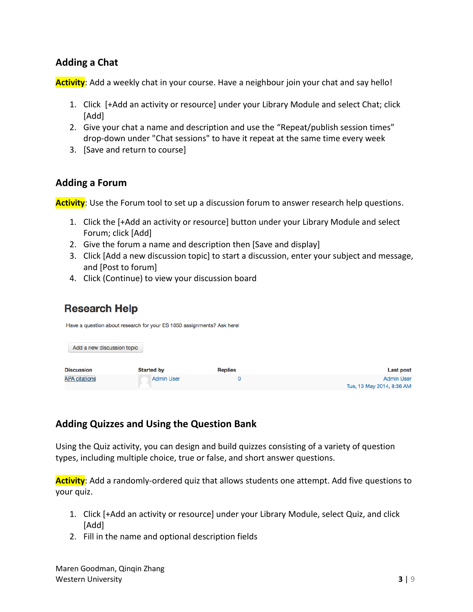## **Adding a Chat**

**Activity**: Add a weekly chat in your course. Have a neighbour join your chat and say hello!

- 1. Click [+Add an activity or resource] under your Library Module and select Chat; click [Add]
- 2. Give your chat a name and description and use the "Repeat/publish session times" drop-down under "Chat sessions" to have it repeat at the same time every week
- 3. [Save and return to course]

### **Adding a Forum**

**Activity**: Use the Forum tool to set up a discussion forum to answer research help questions.

- 1. Click the [+Add an activity or resource] button under your Library Module and select Forum; click [Add]
- 2. Give the forum a name and description then [Save and display]
- 3. Click [Add a new discussion topic] to start a discussion, enter your subject and message, and [Post to forum]
- 4. Click (Continue) to view your discussion board

House a question shout research for your EQ 1050 essignments? Ask beys

# **Research Help**

|                            | Have a question about research for your ES T000 assignments? ASK nere: |                |                                                |
|----------------------------|------------------------------------------------------------------------|----------------|------------------------------------------------|
| Add a new discussion topic |                                                                        |                |                                                |
| <b>Discussion</b>          | <b>Started by</b>                                                      | <b>Replies</b> | <b>Last post</b>                               |
| <b>APA citations</b>       | <b>Admin User</b>                                                      | 0              | <b>Admin User</b><br>Tue, 13 May 2014, 8:36 AM |

# **Adding Quizzes and Using the Question Bank**

Using the Quiz activity, you can design and build quizzes consisting of a variety of question types, including multiple choice, true or false, and short answer questions.

**Activity**: Add a randomly-ordered quiz that allows students one attempt. Add five questions to your quiz.

- 1. Click [+Add an activity or resource] under your Library Module, select Quiz, and click [Add]
- 2. Fill in the name and optional description fields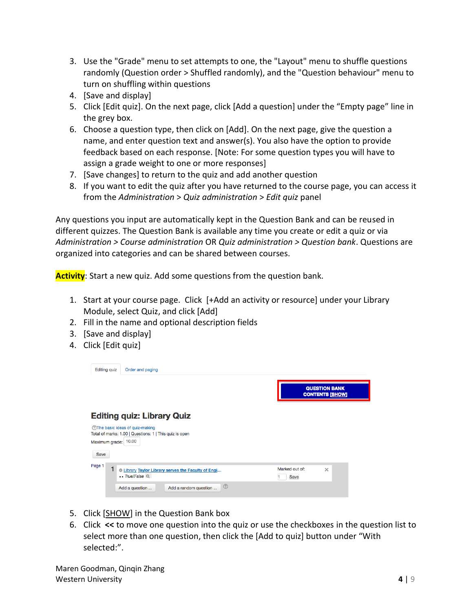- 3. Use the "Grade" menu to set attempts to one, the "Layout" menu to shuffle questions randomly (Question order > Shuffled randomly), and the "Question behaviour" menu to turn on shuffling within questions
- 4. [Save and display]
- 5. Click [Edit quiz]. On the next page, click [Add a question] under the "Empty page" line in the grey box.
- 6. Choose a question type, then click on [Add]. On the next page, give the question a name, and enter question text and answer(s). You also have the option to provide feedback based on each response. [Note: For some question types you will have to assign a grade weight to one or more responses]
- 7. [Save changes] to return to the quiz and add another question
- 8. If you want to edit the quiz after you have returned to the course page, you can access it from the *Administration* > *Quiz administration* > *Edit quiz* panel

Any questions you input are automatically kept in the Question Bank and can be reused in different quizzes. The Question Bank is available any time you create or edit a quiz or via *Administration > Course administration* OR *Quiz administration > Question bank*. Questions are organized into categories and can be shared between courses.

**Activity**: Start a new quiz. Add some questions from the question bank.

- 1. Start at your course page. Click [+Add an activity or resource] under your Library Module, select Quiz, and click [Add]
- 2. Fill in the name and optional description fields
- 3. [Save and display]
- 4. Click [Edit quiz]



- 5. Click [SHOW] in the Question Bank box
- 6. Click **<<** to move one question into the quiz or use the checkboxes in the question list to select more than one question, then click the [Add to quiz] button under "With selected:".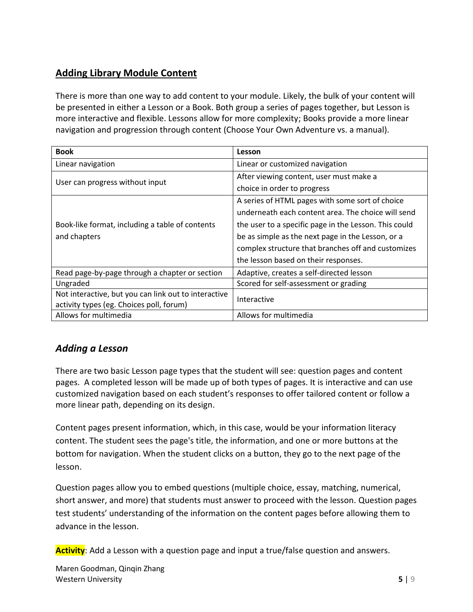# **Adding Library Module Content**

There is more than one way to add content to your module. Likely, the bulk of your content will be presented in either a Lesson or a Book. Both group a series of pages together, but Lesson is more interactive and flexible. Lessons allow for more complexity; Books provide a more linear navigation and progression through content (Choose Your Own Adventure vs. a manual).

| <b>Book</b>                                          | Lesson                                                |  |
|------------------------------------------------------|-------------------------------------------------------|--|
| Linear navigation                                    | Linear or customized navigation                       |  |
| User can progress without input                      | After viewing content, user must make a               |  |
|                                                      | choice in order to progress                           |  |
|                                                      | A series of HTML pages with some sort of choice       |  |
|                                                      | underneath each content area. The choice will send    |  |
| Book-like format, including a table of contents      | the user to a specific page in the Lesson. This could |  |
| and chapters                                         | be as simple as the next page in the Lesson, or a     |  |
|                                                      | complex structure that branches off and customizes    |  |
|                                                      | the lesson based on their responses.                  |  |
| Read page-by-page through a chapter or section       | Adaptive, creates a self-directed lesson              |  |
| Ungraded                                             | Scored for self-assessment or grading                 |  |
| Not interactive, but you can link out to interactive | Interactive                                           |  |
| activity types (eg. Choices poll, forum)             |                                                       |  |
| Allows for multimedia                                | Allows for multimedia                                 |  |

# *Adding a Lesson*

There are two basic Lesson page types that the student will see: question pages and content pages. A completed lesson will be made up of both types of pages. It is interactive and can use customized navigation based on each student's responses to offer tailored content or follow a more linear path, depending on its design.

Content pages present information, which, in this case, would be your information literacy content. The student sees the page's title, the information, and one or more buttons at the bottom for navigation. When the student clicks on a button, they go to the next page of the lesson.

Question pages allow you to embed questions (multiple choice, essay, matching, numerical, short answer, and more) that students must answer to proceed with the lesson. Question pages test students' understanding of the information on the content pages before allowing them to advance in the lesson.

**Activity**: Add a Lesson with a question page and input a true/false question and answers.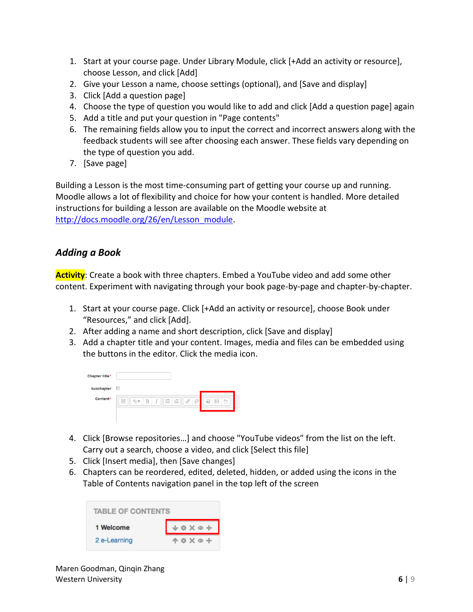- 1. Start at your course page. Under Library Module, click [+Add an activity or resource], choose Lesson, and click [Add]
- 2. Give your Lesson a name, choose settings (optional), and [Save and display]
- 3. Click [Add a question page]
- 4. Choose the type of question you would like to add and click [Add a question page] again
- 5. Add a title and put your question in "Page contents"
- 6. The remaining fields allow you to input the correct and incorrect answers along with the feedback students will see after choosing each answer. These fields vary depending on the type of question you add.
- 7. [Save page]

Building a Lesson is the most time-consuming part of getting your course up and running. Moodle allows a lot of flexibility and choice for how your content is handled. More detailed instructions for building a lesson are available on the Moodle website at [http://docs.moodle.org/26/en/Lesson\\_module.](http://docs.moodle.org/26/en/Lesson_module)

### *Adding a Book*

**Activity**: Create a book with three chapters. Embed a YouTube video and add some other content. Experiment with navigating through your book page-by-page and chapter-by-chapter.

- 1. Start at your course page. Click [+Add an activity or resource], choose Book under "Resources," and click [Add].
- 2. After adding a name and short description, click [Save and display]
- 3. Add a chapter title and your content. Images, media and files can be embedded using the buttons in the editor. Click the media icon.

| <b>Chapter title*</b> |                                                                                                  |
|-----------------------|--------------------------------------------------------------------------------------------------|
| Subchapter            | m                                                                                                |
| Content*              | 恣<br>$\mathbb{P}$<br>E<br>$:=$<br>8<br>ſÔ۹<br>$\sim$<br>I<br>B<br>A.<br>$A_4 =$<br>狂<br>$\cdots$ |
|                       |                                                                                                  |

- 4. Click [Browse repositories…] and choose "YouTube videos" from the list on the left. Carry out a search, choose a video, and click [Select this file]
- 5. Click [Insert media], then [Save changes]
- 6. Chapters can be reordered, edited, deleted, hidden, or added using the icons in the Table of Contents navigation panel in the top left of the screen

| <b>TABLE OF CONTENTS</b> |                      |  |  |
|--------------------------|----------------------|--|--|
| 1 Welcome                | * × ® +              |  |  |
| 2 e-Learning             | <b>A &amp; X @ +</b> |  |  |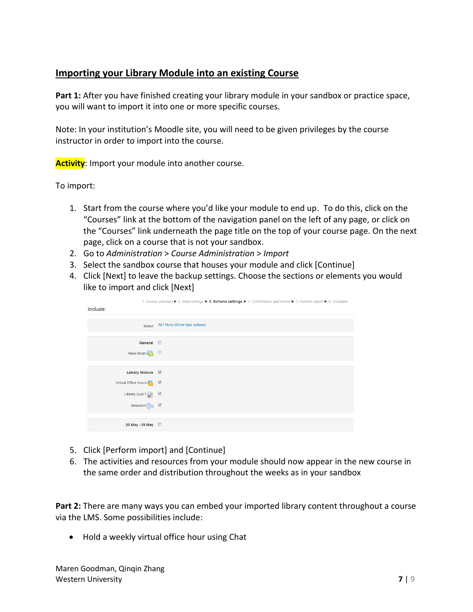## **Importing your Library Module into an existing Course**

**Part 1:** After you have finished creating your library module in your sandbox or practice space, you will want to import it into one or more specific courses.

Note: In your institution's Moodle site, you will need to be given privileges by the course instructor in order to import into the course.

**Activity**: Import your module into another course.

To import:

- 1. Start from the course where you'd like your module to end up. To do this, click on the "Courses" link at the bottom of the navigation panel on the left of any page, or click on the "Courses" link underneath the page title on the top of your course page. On the next page, click on a course that is not your sandbox.
- 2. Go to *Administration* > *Course Administration* > *Import*
- 3. Select the sandbox course that houses your module and click [Continue]
- 4. Click [Next] to leave the backup settings. Choose the sections or elements you would like to import and click [Next]

|                      | 1. Course selection ► 2. Initial settings ► 3. Schema settings ► 4. Confirmation and review ► 5. Perform import ► 6. Complete |
|----------------------|-------------------------------------------------------------------------------------------------------------------------------|
| Include:             |                                                                                                                               |
|                      |                                                                                                                               |
| Select               | All / None (Show type options)                                                                                                |
|                      |                                                                                                                               |
| General <b>E</b>     |                                                                                                                               |
| News forum           |                                                                                                                               |
|                      |                                                                                                                               |
| Library Module V     |                                                                                                                               |
| Virtual Office Hours |                                                                                                                               |
| Library Quiz 1       |                                                                                                                               |
| Research $\Box$      |                                                                                                                               |
|                      |                                                                                                                               |
| 23 May - 29 May      |                                                                                                                               |

- 5. Click [Perform import] and [Continue]
- 6. The activities and resources from your module should now appear in the new course in the same order and distribution throughout the weeks as in your sandbox

**Part 2:** There are many ways you can embed your imported library content throughout a course via the LMS. Some possibilities include:

Hold a weekly virtual office hour using Chat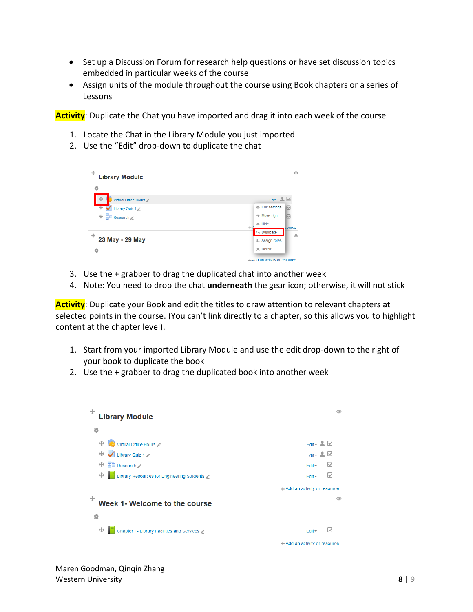- Set up a Discussion Forum for research help questions or have set discussion topics embedded in particular weeks of the course
- Assign units of the module throughout the course using Book chapters or a series of Lessons

**Activity**: Duplicate the Chat you have imported and drag it into each week of the course

- 1. Locate the Chat in the Library Module you just imported
- 2. Use the "Edit" drop-down to duplicate the chat



- 3. Use the + grabber to drag the duplicated chat into another week
- 4. Note: You need to drop the chat **underneath** the gear icon; otherwise, it will not stick

**Activity**: Duplicate your Book and edit the titles to draw attention to relevant chapters at selected points in the course. (You can't link directly to a chapter, so this allows you to highlight content at the chapter level).

- 1. Start from your imported Library Module and use the edit drop-down to the right of your book to duplicate the book
- 2. Use the + grabber to drag the duplicated book into another week